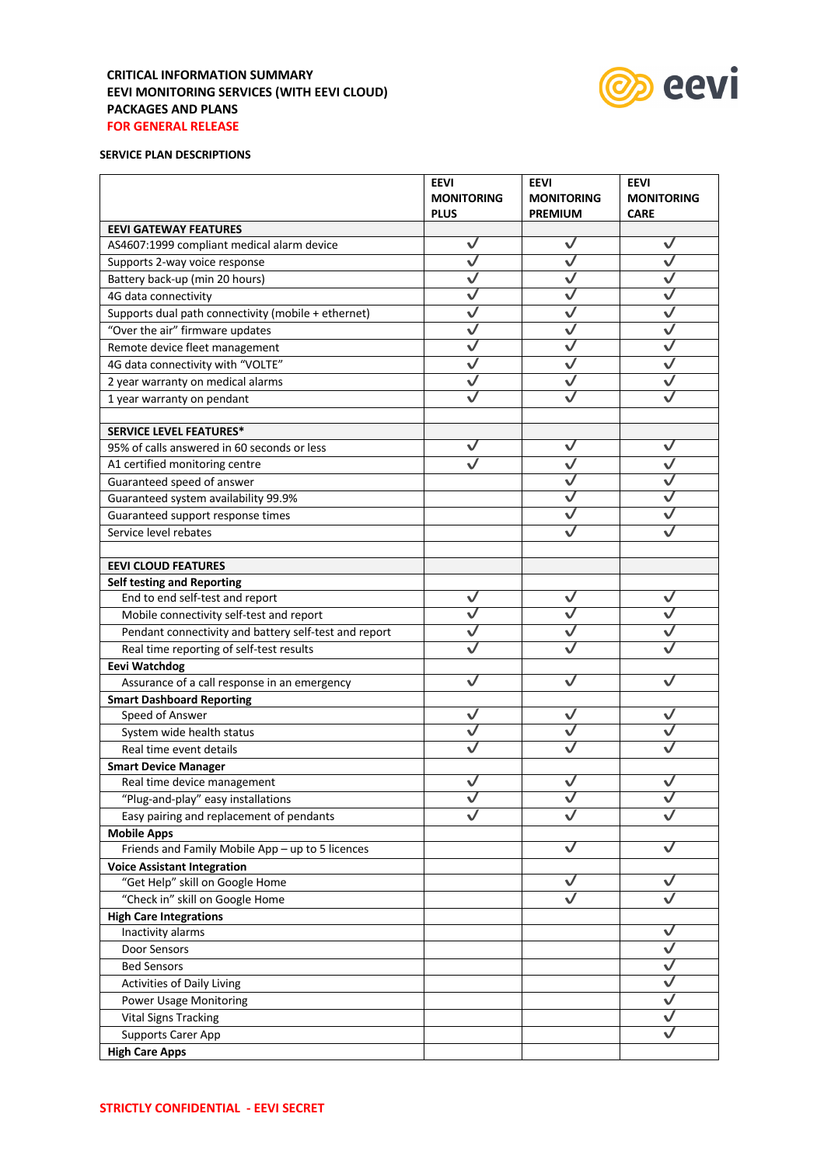# **CRITICAL INFORMATION SUMMARY EEVI MONITORING SERVICES (WITH EEVI CLOUD) PACKAGES AND PLANS FOR GENERAL RELEASE**



## **SERVICE PLAN DESCRIPTIONS**

|                                                       | <b>EEVI</b><br><b>MONITORING</b> | <b>EEVI</b><br><b>MONITORING</b> | <b>EEVI</b><br><b>MONITORING</b> |
|-------------------------------------------------------|----------------------------------|----------------------------------|----------------------------------|
|                                                       | <b>PLUS</b>                      | <b>PREMIUM</b>                   | <b>CARE</b>                      |
| <b>EEVI GATEWAY FEATURES</b>                          |                                  |                                  |                                  |
| AS4607:1999 compliant medical alarm device            | $\checkmark$                     | $\checkmark$                     | ✓                                |
| Supports 2-way voice response                         | $\checkmark$                     | $\checkmark$                     | $\checkmark$                     |
| Battery back-up (min 20 hours)                        | $\overline{\checkmark}$          | $\checkmark$                     | $\checkmark$                     |
| 4G data connectivity                                  | $\checkmark$                     | $\checkmark$                     | $\checkmark$                     |
| Supports dual path connectivity (mobile + ethernet)   | $\checkmark$                     | $\checkmark$                     | $\checkmark$                     |
| "Over the air" firmware updates                       | $\checkmark$                     | ✓                                | ✓                                |
| Remote device fleet management                        | $\checkmark$                     | ✓                                | ✓                                |
| 4G data connectivity with "VOLTE"                     | $\checkmark$                     | ✓                                | $\checkmark$                     |
| 2 year warranty on medical alarms                     | ✓                                | ✓                                | $\checkmark$                     |
| 1 year warranty on pendant                            |                                  |                                  |                                  |
|                                                       |                                  |                                  |                                  |
| <b>SERVICE LEVEL FEATURES*</b>                        |                                  |                                  |                                  |
| 95% of calls answered in 60 seconds or less           | $\checkmark$                     | $\checkmark$                     | ✓                                |
| A1 certified monitoring centre                        |                                  | $\checkmark$                     | $\checkmark$                     |
| Guaranteed speed of answer                            |                                  | ✓                                | $\checkmark$                     |
| Guaranteed system availability 99.9%                  |                                  | ✓                                |                                  |
| Guaranteed support response times                     |                                  | ✓                                |                                  |
| Service level rebates                                 |                                  |                                  |                                  |
|                                                       |                                  |                                  |                                  |
| <b>EEVI CLOUD FEATURES</b>                            |                                  |                                  |                                  |
| <b>Self testing and Reporting</b>                     |                                  |                                  |                                  |
| End to end self-test and report                       | ✓                                | ✓                                | ✓                                |
| Mobile connectivity self-test and report              | ✓                                | ✓                                |                                  |
| Pendant connectivity and battery self-test and report |                                  |                                  |                                  |
| Real time reporting of self-test results              |                                  |                                  |                                  |
| <b>Eevi Watchdog</b>                                  |                                  |                                  |                                  |
| Assurance of a call response in an emergency          | ✓                                |                                  |                                  |
| <b>Smart Dashboard Reporting</b>                      |                                  |                                  |                                  |
| Speed of Answer                                       |                                  |                                  |                                  |
| System wide health status                             |                                  |                                  |                                  |
| Real time event details                               |                                  |                                  |                                  |
| <b>Smart Device Manager</b>                           |                                  |                                  |                                  |
| Real time device management                           |                                  |                                  |                                  |
| "Plug-and-play" easy installations                    | V                                | V                                | V                                |
| Easy pairing and replacement of pendants              |                                  |                                  |                                  |
| <b>Mobile Apps</b>                                    |                                  |                                  |                                  |
| Friends and Family Mobile App - up to 5 licences      |                                  |                                  |                                  |
| <b>Voice Assistant Integration</b>                    |                                  |                                  |                                  |
| "Get Help" skill on Google Home                       |                                  |                                  | V                                |
| "Check in" skill on Google Home                       |                                  | ✓                                | ∨                                |
| <b>High Care Integrations</b>                         |                                  |                                  |                                  |
| Inactivity alarms                                     |                                  |                                  | ✓                                |
| Door Sensors                                          |                                  |                                  | V                                |
| <b>Bed Sensors</b>                                    |                                  |                                  | ✓                                |
| <b>Activities of Daily Living</b>                     |                                  |                                  | V                                |
| <b>Power Usage Monitoring</b>                         |                                  |                                  | ✓                                |
| <b>Vital Signs Tracking</b>                           |                                  |                                  | ✓                                |
| <b>Supports Carer App</b>                             |                                  |                                  |                                  |
| <b>High Care Apps</b>                                 |                                  |                                  |                                  |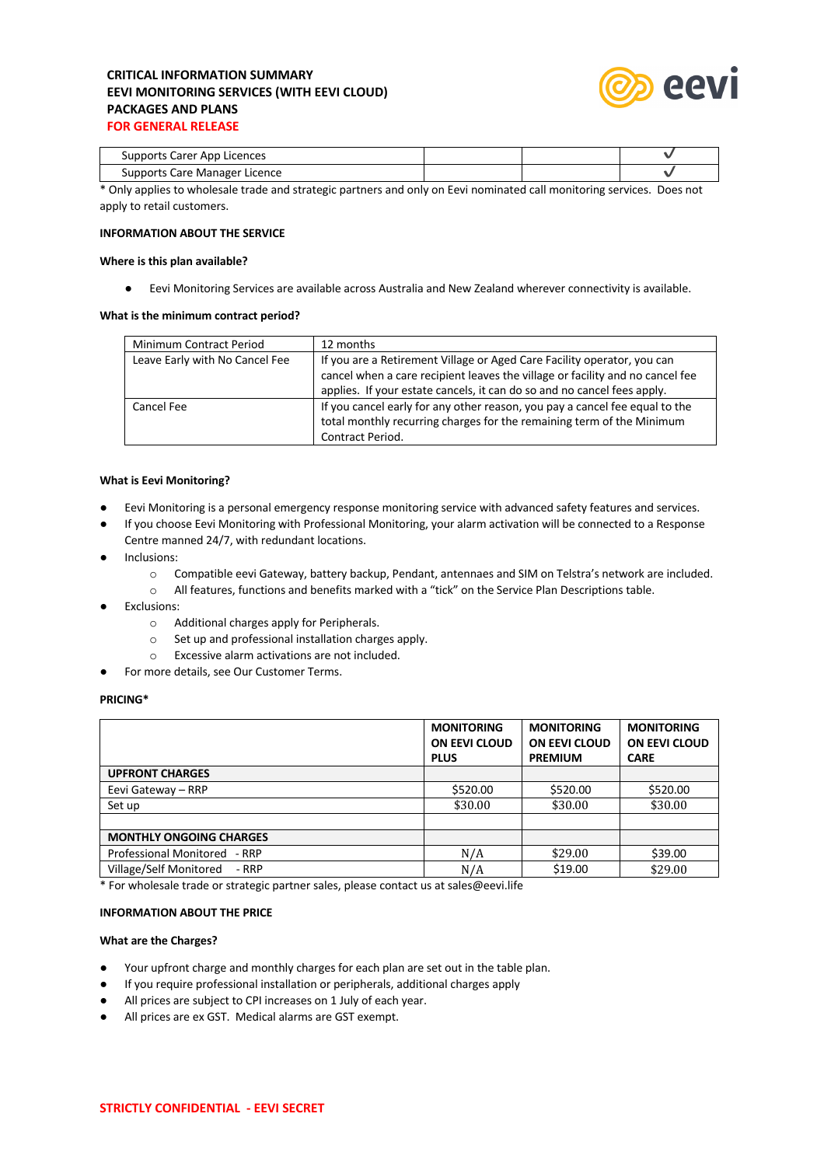# **CRITICAL INFORMATION SUMMARY EEVI MONITORING SERVICES (WITH EEVI CLOUD) PACKAGES AND PLANS FOR GENERAL RELEASE**



| Supports Carer App Licences   |  |  |
|-------------------------------|--|--|
| Supports Care Manager Licence |  |  |
|                               |  |  |

\* Only applies to wholesale trade and strategic partners and only on Eevi nominated call monitoring services. Does not apply to retail customers.

## **INFORMATION ABOUT THE SERVICE**

### **Where is this plan available?**

● Eevi Monitoring Services are available across Australia and New Zealand wherever connectivity is available.

### **What is the minimum contract period?**

| Minimum Contract Period        | 12 months                                                                                                                                                                                                                           |
|--------------------------------|-------------------------------------------------------------------------------------------------------------------------------------------------------------------------------------------------------------------------------------|
| Leave Early with No Cancel Fee | If you are a Retirement Village or Aged Care Facility operator, you can<br>cancel when a care recipient leaves the village or facility and no cancel fee<br>applies. If your estate cancels, it can do so and no cancel fees apply. |
| Cancel Fee                     | If you cancel early for any other reason, you pay a cancel fee equal to the<br>total monthly recurring charges for the remaining term of the Minimum<br>Contract Period.                                                            |

### **What is Eevi Monitoring?**

- Eevi Monitoring is a personal emergency response monitoring service with advanced safety features and services.
- If you choose Eevi Monitoring with Professional Monitoring, your alarm activation will be connected to a Response Centre manned 24/7, with redundant locations.
- Inclusions:
	- o Compatible eevi Gateway, battery backup, Pendant, antennaes and SIM on Telstra's network are included.
	- o All features, functions and benefits marked with a "tick" on the Service Plan Descriptions table.
- **Exclusions:** 
	- o Additional charges apply for Peripherals.
	- o Set up and professional installation charges apply.
	- o Excessive alarm activations are not included.
	- For more details, see Our Customer Terms.

## **PRICING\***

|                                | <b>MONITORING</b><br><b>ON EEVI CLOUD</b><br><b>PLUS</b> | <b>MONITORING</b><br><b>ON EEVI CLOUD</b><br><b>PREMIUM</b> | <b>MONITORING</b><br><b>ON EEVI CLOUD</b><br><b>CARE</b> |
|--------------------------------|----------------------------------------------------------|-------------------------------------------------------------|----------------------------------------------------------|
| <b>UPFRONT CHARGES</b>         |                                                          |                                                             |                                                          |
| Eevi Gateway - RRP             | \$520.00                                                 | \$520.00                                                    | \$520.00                                                 |
| Set up                         | \$30.00                                                  | \$30.00                                                     | \$30.00                                                  |
|                                |                                                          |                                                             |                                                          |
| <b>MONTHLY ONGOING CHARGES</b> |                                                          |                                                             |                                                          |
| Professional Monitored - RRP   | N/A                                                      | \$29.00                                                     | \$39.00                                                  |
| Village/Self Monitored - RRP   | N/A                                                      | \$19.00                                                     | \$29.00                                                  |

\* For wholesale trade or strategic partner sales, please contact us at sales@eevi.life

#### **INFORMATION ABOUT THE PRICE**

#### **What are the Charges?**

- Your upfront charge and monthly charges for each plan are set out in the table plan.
- If you require professional installation or peripherals, additional charges apply
- All prices are subject to CPI increases on 1 July of each year.
- All prices are ex GST. Medical alarms are GST exempt.